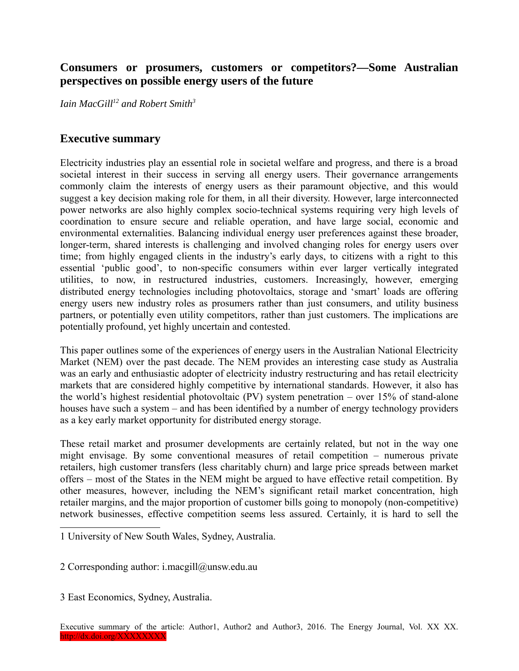## **Consumers or prosumers, customers or competitors?—Some Australian perspectives on possible energy users of the future**

*Iain MacGill[1](#page-0-0)[2](#page-0-1) and Robert Smith[3](#page-0-2)*

## **Executive summary**

Electricity industries play an essential role in societal welfare and progress, and there is a broad societal interest in their success in serving all energy users. Their governance arrangements commonly claim the interests of energy users as their paramount objective, and this would suggest a key decision making role for them, in all their diversity. However, large interconnected power networks are also highly complex socio-technical systems requiring very high levels of coordination to ensure secure and reliable operation, and have large social, economic and environmental externalities. Balancing individual energy user preferences against these broader, longer-term, shared interests is challenging and involved changing roles for energy users over time; from highly engaged clients in the industry's early days, to citizens with a right to this essential 'public good', to non-specific consumers within ever larger vertically integrated utilities, to now, in restructured industries, customers. Increasingly, however, emerging distributed energy technologies including photovoltaics, storage and 'smart' loads are offering energy users new industry roles as prosumers rather than just consumers, and utility business partners, or potentially even utility competitors, rather than just customers. The implications are potentially profound, yet highly uncertain and contested.

This paper outlines some of the experiences of energy users in the Australian National Electricity Market (NEM) over the past decade. The NEM provides an interesting case study as Australia was an early and enthusiastic adopter of electricity industry restructuring and has retail electricity markets that are considered highly competitive by international standards. However, it also has the world's highest residential photovoltaic (PV) system penetration – over 15% of stand-alone houses have such a system – and has been identified by a number of energy technology providers as a key early market opportunity for distributed energy storage.

These retail market and prosumer developments are certainly related, but not in the way one might envisage. By some conventional measures of retail competition – numerous private retailers, high customer transfers (less charitably churn) and large price spreads between market offers – most of the States in the NEM might be argued to have effective retail competition. By other measures, however, including the NEM's significant retail market concentration, high retailer margins, and the major proportion of customer bills going to monopoly (non-competitive) network businesses, effective competition seems less assured. Certainly, it is hard to sell the

<span id="page-0-1"></span>2 Corresponding author: i.macgill@unsw.edu.au

<span id="page-0-2"></span>3 East Economics, Sydney, Australia.

<span id="page-0-0"></span><sup>1</sup> University of New South Wales, Sydney, Australia.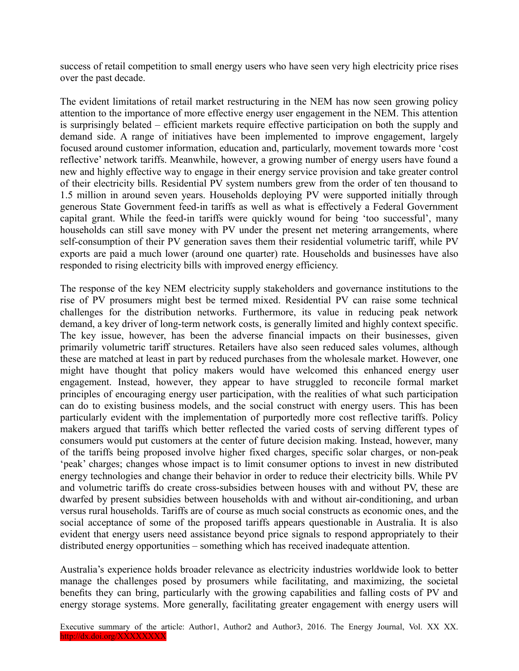success of retail competition to small energy users who have seen very high electricity price rises over the past decade.

The evident limitations of retail market restructuring in the NEM has now seen growing policy attention to the importance of more effective energy user engagement in the NEM. This attention is surprisingly belated – efficient markets require effective participation on both the supply and demand side. A range of initiatives have been implemented to improve engagement, largely focused around customer information, education and, particularly, movement towards more 'cost reflective' network tariffs. Meanwhile, however, a growing number of energy users have found a new and highly effective way to engage in their energy service provision and take greater control of their electricity bills. Residential PV system numbers grew from the order of ten thousand to 1.5 million in around seven years. Households deploying PV were supported initially through generous State Government feed-in tariffs as well as what is effectively a Federal Government capital grant. While the feed-in tariffs were quickly wound for being 'too successful', many households can still save money with PV under the present net metering arrangements, where self-consumption of their PV generation saves them their residential volumetric tariff, while PV exports are paid a much lower (around one quarter) rate. Households and businesses have also responded to rising electricity bills with improved energy efficiency.

The response of the key NEM electricity supply stakeholders and governance institutions to the rise of PV prosumers might best be termed mixed. Residential PV can raise some technical challenges for the distribution networks. Furthermore, its value in reducing peak network demand, a key driver of long-term network costs, is generally limited and highly context specific. The key issue, however, has been the adverse financial impacts on their businesses, given primarily volumetric tariff structures. Retailers have also seen reduced sales volumes, although these are matched at least in part by reduced purchases from the wholesale market. However, one might have thought that policy makers would have welcomed this enhanced energy user engagement. Instead, however, they appear to have struggled to reconcile formal market principles of encouraging energy user participation, with the realities of what such participation can do to existing business models, and the social construct with energy users. This has been particularly evident with the implementation of purportedly more cost reflective tariffs. Policy makers argued that tariffs which better reflected the varied costs of serving different types of consumers would put customers at the center of future decision making. Instead, however, many of the tariffs being proposed involve higher fixed charges, specific solar charges, or non-peak 'peak' charges; changes whose impact is to limit consumer options to invest in new distributed energy technologies and change their behavior in order to reduce their electricity bills. While PV and volumetric tariffs do create cross-subsidies between houses with and without PV, these are dwarfed by present subsidies between households with and without air-conditioning, and urban versus rural households. Tariffs are of course as much social constructs as economic ones, and the social acceptance of some of the proposed tariffs appears questionable in Australia. It is also evident that energy users need assistance beyond price signals to respond appropriately to their distributed energy opportunities – something which has received inadequate attention.

Australia's experience holds broader relevance as electricity industries worldwide look to better manage the challenges posed by prosumers while facilitating, and maximizing, the societal benefits they can bring, particularly with the growing capabilities and falling costs of PV and energy storage systems. More generally, facilitating greater engagement with energy users will